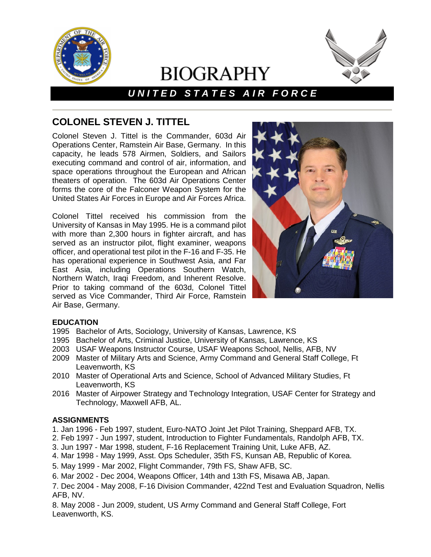

# **BIOGRAPHY**



## *U N I T E D S T A T E S A I R F O R C E*

### **COLONEL STEVEN J. TITTEL**

Colonel Steven J. Tittel is the Commander, 603d Air Operations Center, Ramstein Air Base, Germany. In this capacity, he leads 578 Airmen, Soldiers, and Sailors executing command and control of air, information, and space operations throughout the European and African theaters of operation. The 603d Air Operations Center forms the core of the Falconer Weapon System for the United States Air Forces in Europe and Air Forces Africa.

Colonel Tittel received his commission from the University of Kansas in May 1995. He is a command pilot with more than 2,300 hours in fighter aircraft, and has served as an instructor pilot, flight examiner, weapons officer, and operational test pilot in the F-16 and F-35. He has operational experience in Southwest Asia, and Far East Asia, including Operations Southern Watch, Northern Watch, Iraqi Freedom, and Inherent Resolve. Prior to taking command of the 603d, Colonel Tittel served as Vice Commander, Third Air Force, Ramstein Air Base, Germany.



#### **EDUCATION**

- 1995 Bachelor of Arts, Sociology, University of Kansas, Lawrence, KS
- 1995 Bachelor of Arts, Criminal Justice, University of Kansas, Lawrence, KS
- 2003 USAF Weapons Instructor Course, USAF Weapons School, Nellis, AFB, NV
- 2009 Master of Military Arts and Science, Army Command and General Staff College, Ft Leavenworth, KS
- 2010 Master of Operational Arts and Science, School of Advanced Military Studies, Ft Leavenworth, KS
- 2016 Master of Airpower Strategy and Technology Integration, USAF Center for Strategy and Technology, Maxwell AFB, AL.

#### **ASSIGNMENTS**

1. Jan 1996 - Feb 1997, student, Euro-NATO Joint Jet Pilot Training, Sheppard AFB, TX.

- 2. Feb 1997 Jun 1997, student, Introduction to Fighter Fundamentals, Randolph AFB, TX.
- 3. Jun 1997 Mar 1998, student, F-16 Replacement Training Unit, Luke AFB, AZ.
- 4. Mar 1998 May 1999, Asst. Ops Scheduler, 35th FS, Kunsan AB, Republic of Korea.
- 5. May 1999 Mar 2002, Flight Commander, 79th FS, Shaw AFB, SC.
- 6. Mar 2002 Dec 2004, Weapons Officer, 14th and 13th FS, Misawa AB, Japan.

7. Dec 2004 - May 2008, F-16 Division Commander, 422nd Test and Evaluation Squadron, Nellis AFB, NV.

8. May 2008 - Jun 2009, student, US Army Command and General Staff College, Fort Leavenworth, KS.